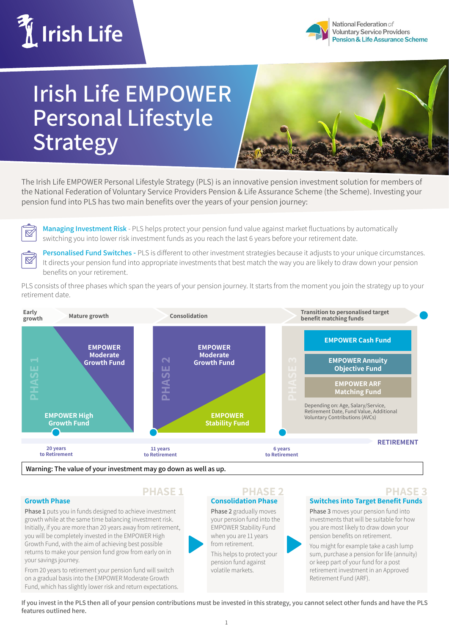



# **Irish Life EMPOWER Personal Lifestyle Strategy**



The Irish Life EMPOWER Personal Lifestyle Strategy (PLS) is an innovative pension investment solution for members of the National Federation of Voluntary Service Providers Pension & Life Assurance Scheme (the Scheme). Investing your pension fund into PLS has two main benefits over the years of your pension journey:

 $\boxtimes$ 

 $\boxtimes$ 

**Managing Investment Risk** - PLS helps protect your pension fund value against market fluctuations by automatically switching you into lower risk investment funds as you reach the last 6 years before your retirement date.

**Personalised Fund Switches -** PLS is different to other investment strategies because it adjusts to your unique circumstances. It directs your pension fund into appropriate investments that best match the way you are likely to draw down your pension benefits on your retirement.

PLS consists of three phases which span the years of your pension journey. It starts from the moment you join the strategy up to your retirement date.



#### **Growth Phase**

**Phase 1** puts you in funds designed to achieve investment growth while at the same time balancing investment risk. Initially, if you are more than 20 years away from retirement, you will be completely invested in the EMPOWER High Growth Fund, with the aim of achieving best possible returns to make your pension fund grow from early on in your savings journey.

From 20 years to retirement your pension fund will switch on a gradual basis into the EMPOWER Moderate Growth Fund, which has slightly lower risk and return expectations.



#### **Consolidation Phase PHASE 1 PHASE 2 PHASE 3**

**Phase 2** gradually moves your pension fund into the EMPOWER Stability Fund when you are 11 years from retirement.

This helps to protect your pension fund against volatile markets.

### **Switches into Target Benefit Funds**

**Phase 3** moves your pension fund into investments that will be suitable for how you are most likely to draw down your pension benefits on retirement.

You might for example take a cash lump sum, purchase a pension for life (annuity) or keep part of your fund for a post retirement investment in an Approved Retirement Fund (ARF).

**If you invest in the PLS then all of your pension contributions must be invested in this strategy, you cannot select other funds and have the PLS features outlined here.**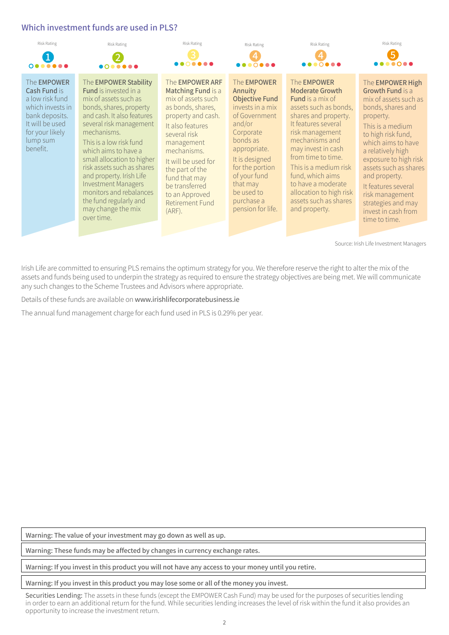## **Which investment funds are used in PLS?**



Irish Life are committed to ensuring PLS remains the optimum strategy for you. We therefore reserve the right to alter the mix of the assets and funds being used to underpin the strategy as required to ensure the strategy objectives are being met. We will communicate any such changes to the Scheme Trustees and Advisors where appropriate.

Details of these funds are available on www.irishlifecorporatebusiness.ie

The annual fund management charge for each fund used in PLS is 0.29% per year.

**Warning: The value of your investment may go down as well as up.**

**Warning: These funds may be affected by changes in currency exchange rates.**

**Warning: If you invest in this product you will not have any access to your money until you retire.**

**Warning: If you invest in this product you may lose some or all of the money you invest.**

Securities Lending: The assets in these funds (except the EMPOWER Cash Fund) may be used for the purposes of securities lending in order to earn an additional return for the fund. While securities lending increases the level of risk within the fund it also provides an opportunity to increase the investment return.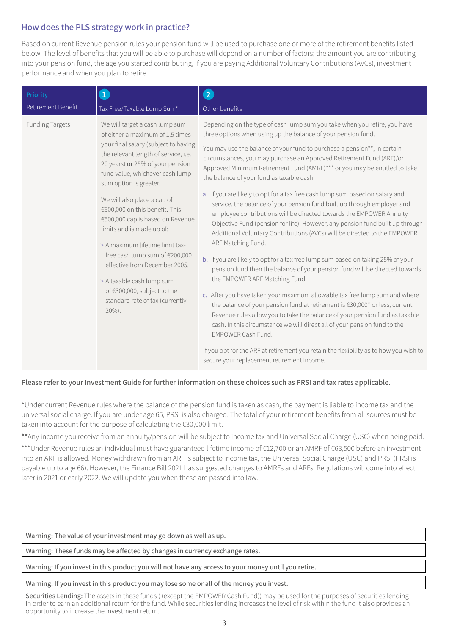# **How does the PLS strategy work in practice?**

Based on current Revenue pension rules your pension fund will be used to purchase one or more of the retirement benefits listed below. The level of benefits that you will be able to purchase will depend on a number of factors; the amount you are contributing into your pension fund, the age you started contributing, if you are paying Additional Voluntary Contributions (AVCs), investment performance and when you plan to retire.

| Priority               | $\bullet$                                                                                                                                                                                                                                                                                                                                                                                                                                                                                                                                                                                               | $\overline{\mathbf{2}}$                                                                                                                                                                                                                                                                                                                                                                                                                                                                                                                                                                                                                                                                                                                                                                                                                                                                                                                                                                                                                                                                                                                                                                                                                                                                                                                                                                                                                                                                                                                 |
|------------------------|---------------------------------------------------------------------------------------------------------------------------------------------------------------------------------------------------------------------------------------------------------------------------------------------------------------------------------------------------------------------------------------------------------------------------------------------------------------------------------------------------------------------------------------------------------------------------------------------------------|-----------------------------------------------------------------------------------------------------------------------------------------------------------------------------------------------------------------------------------------------------------------------------------------------------------------------------------------------------------------------------------------------------------------------------------------------------------------------------------------------------------------------------------------------------------------------------------------------------------------------------------------------------------------------------------------------------------------------------------------------------------------------------------------------------------------------------------------------------------------------------------------------------------------------------------------------------------------------------------------------------------------------------------------------------------------------------------------------------------------------------------------------------------------------------------------------------------------------------------------------------------------------------------------------------------------------------------------------------------------------------------------------------------------------------------------------------------------------------------------------------------------------------------------|
| Retirement Benefit     | Tax Free/Taxable Lump Sum*                                                                                                                                                                                                                                                                                                                                                                                                                                                                                                                                                                              | Other benefits                                                                                                                                                                                                                                                                                                                                                                                                                                                                                                                                                                                                                                                                                                                                                                                                                                                                                                                                                                                                                                                                                                                                                                                                                                                                                                                                                                                                                                                                                                                          |
| <b>Funding Targets</b> | We will target a cash lump sum<br>of either a maximum of 1.5 times<br>your final salary (subject to having<br>the relevant length of service, i.e.<br>20 years) or 25% of your pension<br>fund value, whichever cash lump<br>sum option is greater.<br>We will also place a cap of<br>€500,000 on this benefit. This<br>€500,000 cap is based on Revenue<br>limits and is made up of:<br>> A maximum lifetime limit tax-<br>free cash lump sum of €200,000<br>effective from December 2005.<br>> A taxable cash lump sum<br>of €300,000, subject to the<br>standard rate of tax (currently<br>$20\%$ ). | Depending on the type of cash lump sum you take when you retire, you have<br>three options when using up the balance of your pension fund.<br>You may use the balance of your fund to purchase a pension**, in certain<br>circumstances, you may purchase an Approved Retirement Fund (ARF)/or<br>Approved Minimum Retirement Fund (AMRF)*** or you may be entitled to take<br>the balance of your fund as taxable cash<br>a. If you are likely to opt for a tax free cash lump sum based on salary and<br>service, the balance of your pension fund built up through employer and<br>employee contributions will be directed towards the EMPOWER Annuity<br>Objective Fund (pension for life). However, any pension fund built up through<br>Additional Voluntary Contributions (AVCs) will be directed to the EMPOWER<br>ARF Matching Fund.<br>b. If you are likely to opt for a tax free lump sum based on taking 25% of your<br>pension fund then the balance of your pension fund will be directed towards<br>the EMPOWER ARF Matching Fund.<br>c. After you have taken your maximum allowable tax free lump sum and where<br>the balance of your pension fund at retirement is €30,000* or less, current<br>Revenue rules allow you to take the balance of your pension fund as taxable<br>cash. In this circumstance we will direct all of your pension fund to the<br>EMPOWER Cash Fund.<br>If you opt for the ARF at retirement you retain the flexibility as to how you wish to<br>secure your replacement retirement income. |

### **Please refer to your Investment Guide for further information on these choices such as PRSI and tax rates applicable.**

\*Under current Revenue rules where the balance of the pension fund is taken as cash, the payment is liable to income tax and the universal social charge. If you are under age 65, PRSI is also charged. The total of your retirement benefits from all sources must be taken into account for the purpose of calculating the €30,000 limit.

\*\*Any income you receive from an annuity/pension will be subject to income tax and Universal Social Charge (USC) when being paid.

\*\*\*Under Revenue rules an individual must have guaranteed lifetime income of €12,700 or an AMRF of €63,500 before an investment into an ARF is allowed. Money withdrawn from an ARF is subject to income tax, the Universal Social Charge (USC) and PRSI (PRSI is payable up to age 66). However, the Finance Bill 2021 has suggested changes to AMRFs and ARFs. Regulations will come into effect later in 2021 or early 2022. We will update you when these are passed into law.

#### **Warning: The value of your investment may go down as well as up.**

**Warning: These funds may be affected by changes in currency exchange rates.**

#### **Warning: If you invest in this product you will not have any access to your money until you retire.**

#### **Warning: If you invest in this product you may lose some or all of the money you invest.**

Securities Lending: The assets in these funds ( (except the EMPOWER Cash Fund)) may be used for the purposes of securities lending in order to earn an additional return for the fund. While securities lending increases the level of risk within the fund it also provides an opportunity to increase the investment return.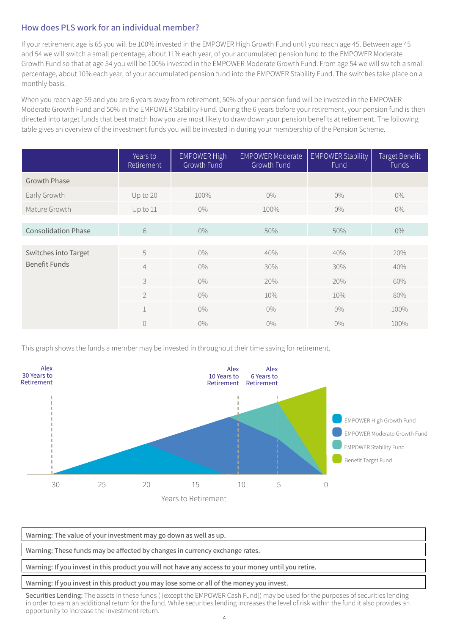# **How does PLS work for an individual member?**

If your retirement age is 65 you will be 100% invested in the EMPOWER High Growth Fund until you reach age 45. Between age 45 and 54 we will switch a small percentage, about 11% each year, of your accumulated pension fund to the EMPOWER Moderate Growth Fund so that at age 54 you will be 100% invested in the EMPOWER Moderate Growth Fund. From age 54 we will switch a small percentage, about 10% each year, of your accumulated pension fund into the EMPOWER Stability Fund. The switches take place on a monthly basis.

When you reach age 59 and you are 6 years away from retirement, 50% of your pension fund will be invested in the EMPOWER Moderate Growth Fund and 50% in the EMPOWER Stability Fund. During the 6 years before your retirement, your pension fund is then directed into target funds that best match how you are most likely to draw down your pension benefits at retirement. The following table gives an overview of the investment funds you will be invested in during your membership of the Pension Scheme.

|                            | Years to<br>Retirement | <b>EMPOWER High</b><br>Growth Fund | <b>EMPOWER Moderate</b><br>Growth Fund | <b>EMPOWER Stability</b><br>Fund | Target Benefit<br>Funds |
|----------------------------|------------------------|------------------------------------|----------------------------------------|----------------------------------|-------------------------|
| <b>Growth Phase</b>        |                        |                                    |                                        |                                  |                         |
| Early Growth               | Up to 20               | 100%                               | $0\%$                                  | $0\%$                            | $0\%$                   |
| Mature Growth              | Up to 11               | $0\%$                              | 100%                                   | $0\%$                            | $0\%$                   |
|                            |                        |                                    |                                        |                                  |                         |
| <b>Consolidation Phase</b> | $\sqrt{6}$             | $0\%$                              | 50%                                    | 50%                              | $0\%$                   |
|                            |                        |                                    |                                        |                                  |                         |
| Switches into Target       | 5                      | $0\%$                              | 40%                                    | 40%                              | 20%                     |
| <b>Benefit Funds</b>       | $\overline{4}$         | $0\%$                              | 30%                                    | 30%                              | 40%                     |
|                            | 3                      | $0\%$                              | 20%                                    | 20%                              | 60%                     |
|                            | $\overline{2}$         | $0\%$                              | 10%                                    | 10%                              | 80%                     |
|                            | $\mathbf{1}$           | $0\%$                              | $0\%$                                  | $0\%$                            | 100%                    |
|                            | $\overline{0}$         | $0\%$                              | $0\%$                                  | $0\%$                            | 100%                    |

This graph shows the funds a member may be invested in throughout their time saving for retirement.



**Warning: The value of your investment may go down as well as up. Warning: These funds may be affected by changes in currency exchange rates. Warning: If you invest in this product you will not have any access to your money until you retire.**

#### **Warning: If you invest in this product you may lose some or all of the money you invest.**

Securities Lending: The assets in these funds ( (except the EMPOWER Cash Fund)) may be used for the purposes of securities lending in order to earn an additional return for the fund. While securities lending increases the level of risk within the fund it also provides an opportunity to increase the investment return.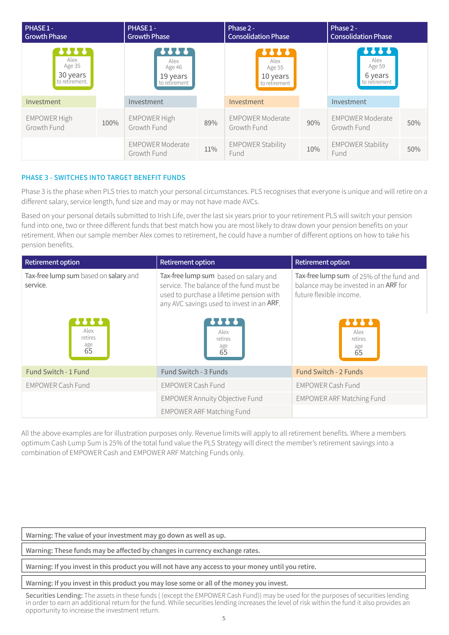| PHASE 1-<br><b>Growth Phase</b>              |      | PHASE 1-<br><b>Growth Phase</b>                     |     | Phase 2 -<br><b>Consolidation Phase</b>              |     | Phase 2 -<br><b>Consolidation Phase</b>                    |     |
|----------------------------------------------|------|-----------------------------------------------------|-----|------------------------------------------------------|-----|------------------------------------------------------------|-----|
| Alex<br>Age 35<br>30 years<br>to retirement. |      | ????<br>Alex<br>Age 46<br>19 years<br>to retirement |     | 1.1.1<br>Alex<br>Age 55<br>10 years<br>to retirement |     | <b>?????</b><br>Alex<br>Age 59<br>6 years<br>to retirement |     |
| Investment                                   |      | Investment                                          |     | Investment                                           |     | Investment                                                 |     |
| <b>EMPOWER High</b><br>Growth Fund           | 100% | <b>EMPOWER High</b><br>Growth Fund                  | 89% | <b>EMPOWER Moderate</b><br>Growth Fund               | 90% | <b>EMPOWER Moderate</b><br>Growth Fund                     | 50% |
|                                              |      | <b>EMPOWER Moderate</b><br>Growth Fund              | 11% | <b>EMPOWER Stability</b><br>Fund                     | 10% | <b>EMPOWER Stability</b><br>Fund                           | 50% |

### **PHASE 3 - SWITCHES INTO TARGET BENEFIT FUNDS**

Phase 3 is the phase when PLS tries to match your personal circumstances. PLS recognises that everyone is unique and will retire on a different salary, service length, fund size and may or may not have made AVCs.

Based on your personal details submitted to Irish Life, over the last six years prior to your retirement PLS will switch your pension fund into one, two or three different funds that best match how you are most likely to draw down your pension benefits on your retirement. When our sample member Alex comes to retirement, he could have a number of different options on how to take his pension benefits.

| <b>Retirement option</b>                          | <b>Retirement option</b>                                                                                                                                                   | Retirement option                                                                                            |  |
|---------------------------------------------------|----------------------------------------------------------------------------------------------------------------------------------------------------------------------------|--------------------------------------------------------------------------------------------------------------|--|
| Tax-free lump sum based on salary and<br>service. | Tax-free lump sum based on salary and<br>service. The balance of the fund must be<br>used to purchase a lifetime pension with<br>any AVC savings used to invest in an ARF. | Tax-free lump sum of 25% of the fund and<br>balance may be invested in an ARF for<br>future flexible income. |  |
| Alex<br>retires<br>age<br>65                      | Alex<br>retires<br>age<br>65                                                                                                                                               | <br>Alex<br>retires<br>age<br>65                                                                             |  |
| Fund Switch - 1 Fund                              | Fund Switch - 3 Funds                                                                                                                                                      | <b>Fund Switch - 2 Funds</b>                                                                                 |  |
| <b>EMPOWER Cash Fund</b>                          | <b>EMPOWER Cash Fund</b>                                                                                                                                                   | <b>EMPOWER Cash Fund</b>                                                                                     |  |
|                                                   | <b>EMPOWER Annuity Objective Fund</b>                                                                                                                                      | <b>EMPOWER ARF Matching Fund</b>                                                                             |  |
|                                                   | <b>EMPOWER ARF Matching Fund</b>                                                                                                                                           |                                                                                                              |  |

All the above examples are for illustration purposes only. Revenue limits will apply to all retirement benefits. Where a members optimum Cash Lump Sum is 25% of the total fund value the PLS Strategy will direct the member's retirement savings into a combination of EMPOWER Cash and EMPOWER ARF Matching Funds only.

**Warning: The value of your investment may go down as well as up.**

**Warning: These funds may be affected by changes in currency exchange rates.**

**Warning: If you invest in this product you will not have any access to your money until you retire.**

**Warning: If you invest in this product you may lose some or all of the money you invest.**

Securities Lending: The assets in these funds ((except the EMPOWER Cash Fund)) may be used for the purposes of securities lending in order to earn an additional return for the fund. While securities lending increases the level of risk within the fund it also provides an opportunity to increase the investment return.